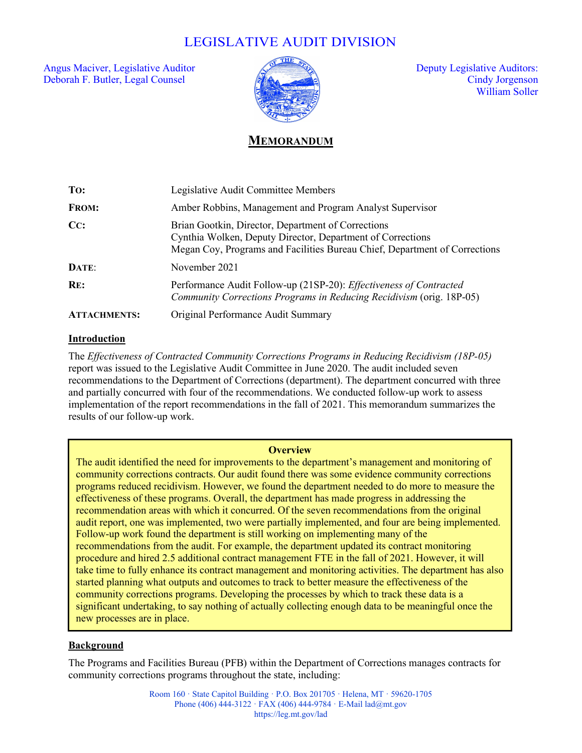# LEGISLATIVE AUDIT DIVISION

Angus Maciver, Legislative Auditor  $\sqrt{2}$  and  $\sqrt{2}$  Deputy Legislative Auditors: Deborah F. Butler, Legal Counsel Cindy Jorgenson



William Soller

## **MEMORANDUM**

| To:                 | Legislative Audit Committee Members                                                                                                                                                            |
|---------------------|------------------------------------------------------------------------------------------------------------------------------------------------------------------------------------------------|
| <b>FROM:</b>        | Amber Robbins, Management and Program Analyst Supervisor                                                                                                                                       |
| CC:                 | Brian Gootkin, Director, Department of Corrections<br>Cynthia Wolken, Deputy Director, Department of Corrections<br>Megan Coy, Programs and Facilities Bureau Chief, Department of Corrections |
| DATE:               | November 2021                                                                                                                                                                                  |
| RE:                 | Performance Audit Follow-up (21SP-20): Effectiveness of Contracted<br>Community Corrections Programs in Reducing Recidivism (orig. 18P-05)                                                     |
| <b>ATTACHMENTS:</b> | Original Performance Audit Summary                                                                                                                                                             |

## **Introduction**

The *Effectiveness of Contracted Community Corrections Programs in Reducing Recidivism (18P-05)* report was issued to the Legislative Audit Committee in June 2020. The audit included seven recommendations to the Department of Corrections (department). The department concurred with three and partially concurred with four of the recommendations. We conducted follow-up work to assess implementation of the report recommendations in the fall of 2021. This memorandum summarizes the results of our follow-up work.

#### **Overview**

The audit identified the need for improvements to the department's management and monitoring of community corrections contracts. Our audit found there was some evidence community corrections programs reduced recidivism. However, we found the department needed to do more to measure the effectiveness of these programs. Overall, the department has made progress in addressing the recommendation areas with which it concurred. Of the seven recommendations from the original audit report, one was implemented, two were partially implemented, and four are being implemented. Follow-up work found the department is still working on implementing many of the recommendations from the audit. For example, the department updated its contract monitoring procedure and hired 2.5 additional contract management FTE in the fall of 2021. However, it will take time to fully enhance its contract management and monitoring activities. The department has also started planning what outputs and outcomes to track to better measure the effectiveness of the community corrections programs. Developing the processes by which to track these data is a significant undertaking, to say nothing of actually collecting enough data to be meaningful once the new processes are in place.

## **Background**

The Programs and Facilities Bureau (PFB) within the Department of Corrections manages contracts for community corrections programs throughout the state, including: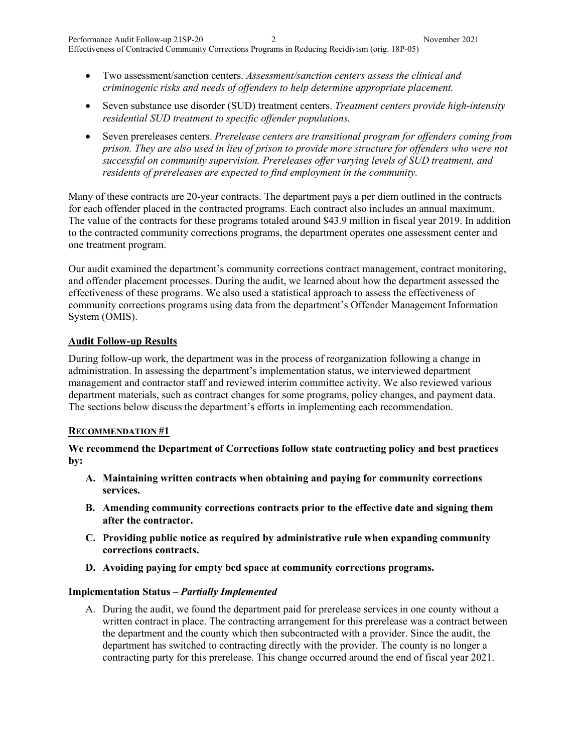- Two assessment/sanction centers. *Assessment/sanction centers assess the clinical and criminogenic risks and needs of offenders to help determine appropriate placement.*
- Seven substance use disorder (SUD) treatment centers. *Treatment centers provide high-intensity residential SUD treatment to specific offender populations.*
- Seven prereleases centers. *Prerelease centers are transitional program for offenders coming from prison. They are also used in lieu of prison to provide more structure for offenders who were not successful on community supervision. Prereleases offer varying levels of SUD treatment, and residents of prereleases are expected to find employment in the community.*

Many of these contracts are 20-year contracts. The department pays a per diem outlined in the contracts for each offender placed in the contracted programs. Each contract also includes an annual maximum. The value of the contracts for these programs totaled around \$43.9 million in fiscal year 2019. In addition to the contracted community corrections programs, the department operates one assessment center and one treatment program.

Our audit examined the department's community corrections contract management, contract monitoring, and offender placement processes. During the audit, we learned about how the department assessed the effectiveness of these programs. We also used a statistical approach to assess the effectiveness of community corrections programs using data from the department's Offender Management Information System (OMIS).

## **Audit Follow-up Results**

During follow-up work, the department was in the process of reorganization following a change in administration. In assessing the department's implementation status, we interviewed department management and contractor staff and reviewed interim committee activity. We also reviewed various department materials, such as contract changes for some programs, policy changes, and payment data. The sections below discuss the department's efforts in implementing each recommendation.

## **RECOMMENDATION #1**

**We recommend the Department of Corrections follow state contracting policy and best practices by:** 

- **A. Maintaining written contracts when obtaining and paying for community corrections services.**
- **B. Amending community corrections contracts prior to the effective date and signing them after the contractor.**
- **C. Providing public notice as required by administrative rule when expanding community corrections contracts.**
- **D. Avoiding paying for empty bed space at community corrections programs.**

## **Implementation Status –** *Partially Implemented*

A. During the audit, we found the department paid for prerelease services in one county without a written contract in place. The contracting arrangement for this prerelease was a contract between the department and the county which then subcontracted with a provider. Since the audit, the department has switched to contracting directly with the provider. The county is no longer a contracting party for this prerelease. This change occurred around the end of fiscal year 2021.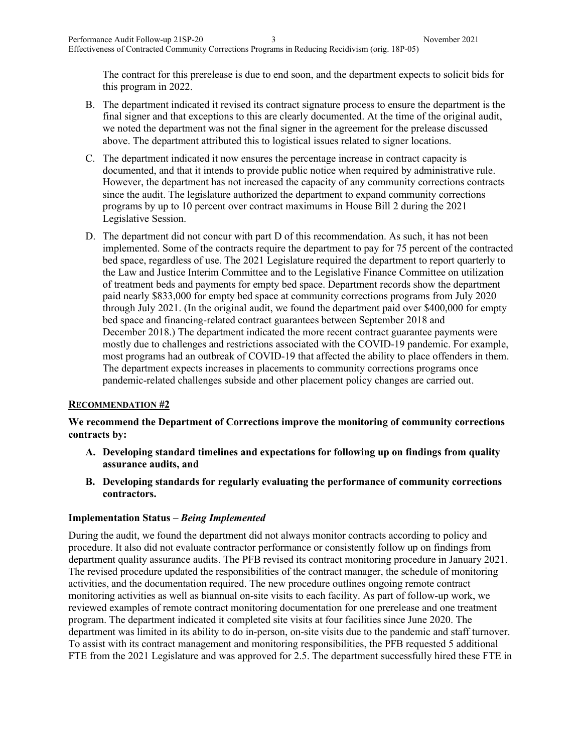The contract for this prerelease is due to end soon, and the department expects to solicit bids for this program in 2022.

- B. The department indicated it revised its contract signature process to ensure the department is the final signer and that exceptions to this are clearly documented. At the time of the original audit, we noted the department was not the final signer in the agreement for the prelease discussed above. The department attributed this to logistical issues related to signer locations.
- C. The department indicated it now ensures the percentage increase in contract capacity is documented, and that it intends to provide public notice when required by administrative rule. However, the department has not increased the capacity of any community corrections contracts since the audit. The legislature authorized the department to expand community corrections programs by up to 10 percent over contract maximums in House Bill 2 during the 2021 Legislative Session.
- D. The department did not concur with part D of this recommendation. As such, it has not been implemented. Some of the contracts require the department to pay for 75 percent of the contracted bed space, regardless of use. The 2021 Legislature required the department to report quarterly to the Law and Justice Interim Committee and to the Legislative Finance Committee on utilization of treatment beds and payments for empty bed space. Department records show the department paid nearly \$833,000 for empty bed space at community corrections programs from July 2020 through July 2021. (In the original audit, we found the department paid over \$400,000 for empty bed space and financing-related contract guarantees between September 2018 and December 2018.) The department indicated the more recent contract guarantee payments were mostly due to challenges and restrictions associated with the COVID-19 pandemic. For example, most programs had an outbreak of COVID-19 that affected the ability to place offenders in them. The department expects increases in placements to community corrections programs once pandemic-related challenges subside and other placement policy changes are carried out.

## **RECOMMENDATION #2**

**We recommend the Department of Corrections improve the monitoring of community corrections contracts by:** 

- **A. Developing standard timelines and expectations for following up on findings from quality assurance audits, and**
- **B. Developing standards for regularly evaluating the performance of community corrections contractors.**

## **Implementation Status –** *Being Implemented*

During the audit, we found the department did not always monitor contracts according to policy and procedure. It also did not evaluate contractor performance or consistently follow up on findings from department quality assurance audits. The PFB revised its contract monitoring procedure in January 2021. The revised procedure updated the responsibilities of the contract manager, the schedule of monitoring activities, and the documentation required. The new procedure outlines ongoing remote contract monitoring activities as well as biannual on-site visits to each facility. As part of follow-up work, we reviewed examples of remote contract monitoring documentation for one prerelease and one treatment program. The department indicated it completed site visits at four facilities since June 2020. The department was limited in its ability to do in-person, on-site visits due to the pandemic and staff turnover. To assist with its contract management and monitoring responsibilities, the PFB requested 5 additional FTE from the 2021 Legislature and was approved for 2.5. The department successfully hired these FTE in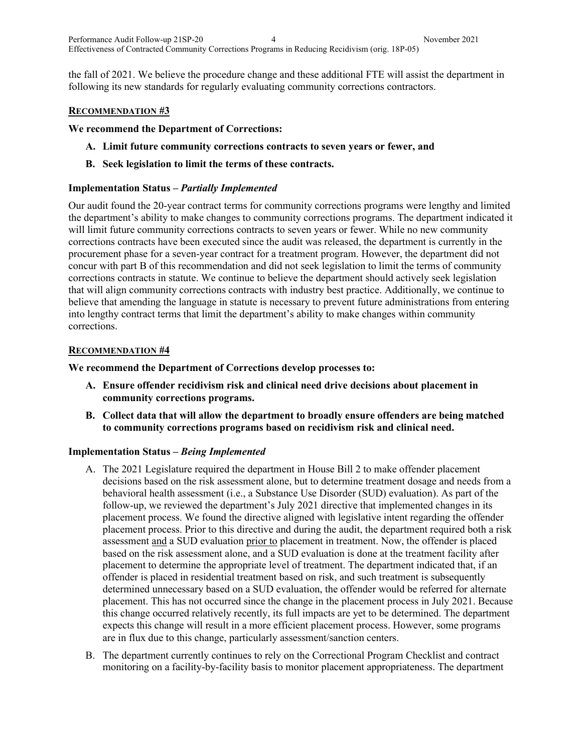the fall of 2021. We believe the procedure change and these additional FTE will assist the department in following its new standards for regularly evaluating community corrections contractors.

#### **RECOMMENDATION #3**

**We recommend the Department of Corrections:** 

- **A. Limit future community corrections contracts to seven years or fewer, and**
- **B. Seek legislation to limit the terms of these contracts.**

#### **Implementation Status –** *Partially Implemented*

Our audit found the 20-year contract terms for community corrections programs were lengthy and limited the department's ability to make changes to community corrections programs. The department indicated it will limit future community corrections contracts to seven years or fewer. While no new community corrections contracts have been executed since the audit was released, the department is currently in the procurement phase for a seven-year contract for a treatment program. However, the department did not concur with part B of this recommendation and did not seek legislation to limit the terms of community corrections contracts in statute. We continue to believe the department should actively seek legislation that will align community corrections contracts with industry best practice. Additionally, we continue to believe that amending the language in statute is necessary to prevent future administrations from entering into lengthy contract terms that limit the department's ability to make changes within community corrections.

#### **RECOMMENDATION #4**

**We recommend the Department of Corrections develop processes to:** 

- **A. Ensure offender recidivism risk and clinical need drive decisions about placement in community corrections programs.**
- **B. Collect data that will allow the department to broadly ensure offenders are being matched to community corrections programs based on recidivism risk and clinical need.**

#### **Implementation Status –** *Being Implemented*

- A. The 2021 Legislature required the department in House Bill 2 to make offender placement decisions based on the risk assessment alone, but to determine treatment dosage and needs from a behavioral health assessment (i.e., a Substance Use Disorder (SUD) evaluation). As part of the follow-up, we reviewed the department's July 2021 directive that implemented changes in its placement process. We found the directive aligned with legislative intent regarding the offender placement process. Prior to this directive and during the audit, the department required both a risk assessment and a SUD evaluation prior to placement in treatment. Now, the offender is placed based on the risk assessment alone, and a SUD evaluation is done at the treatment facility after placement to determine the appropriate level of treatment. The department indicated that, if an offender is placed in residential treatment based on risk, and such treatment is subsequently determined unnecessary based on a SUD evaluation, the offender would be referred for alternate placement. This has not occurred since the change in the placement process in July 2021. Because this change occurred relatively recently, its full impacts are yet to be determined. The department expects this change will result in a more efficient placement process. However, some programs are in flux due to this change, particularly assessment/sanction centers.
- B. The department currently continues to rely on the Correctional Program Checklist and contract monitoring on a facility-by-facility basis to monitor placement appropriateness. The department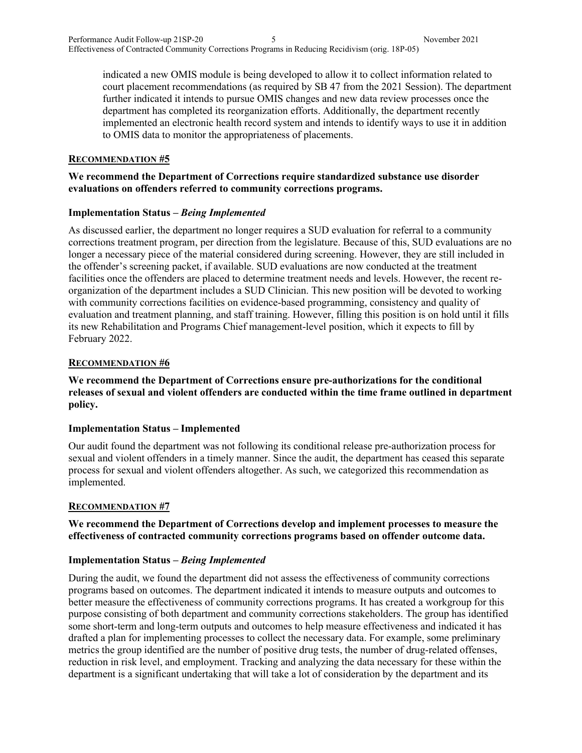indicated a new OMIS module is being developed to allow it to collect information related to court placement recommendations (as required by SB 47 from the 2021 Session). The department further indicated it intends to pursue OMIS changes and new data review processes once the department has completed its reorganization efforts. Additionally, the department recently implemented an electronic health record system and intends to identify ways to use it in addition to OMIS data to monitor the appropriateness of placements.

### **RECOMMENDATION #5**

## **We recommend the Department of Corrections require standardized substance use disorder evaluations on offenders referred to community corrections programs.**

## **Implementation Status –** *Being Implemented*

As discussed earlier, the department no longer requires a SUD evaluation for referral to a community corrections treatment program, per direction from the legislature. Because of this, SUD evaluations are no longer a necessary piece of the material considered during screening. However, they are still included in the offender's screening packet, if available. SUD evaluations are now conducted at the treatment facilities once the offenders are placed to determine treatment needs and levels. However, the recent reorganization of the department includes a SUD Clinician. This new position will be devoted to working with community corrections facilities on evidence-based programming, consistency and quality of evaluation and treatment planning, and staff training. However, filling this position is on hold until it fills its new Rehabilitation and Programs Chief management-level position, which it expects to fill by February 2022.

#### **RECOMMENDATION #6**

**We recommend the Department of Corrections ensure pre-authorizations for the conditional releases of sexual and violent offenders are conducted within the time frame outlined in department policy.**

## **Implementation Status – Implemented**

Our audit found the department was not following its conditional release pre-authorization process for sexual and violent offenders in a timely manner. Since the audit, the department has ceased this separate process for sexual and violent offenders altogether. As such, we categorized this recommendation as implemented.

#### **RECOMMENDATION #7**

## **We recommend the Department of Corrections develop and implement processes to measure the effectiveness of contracted community corrections programs based on offender outcome data.**

#### **Implementation Status –** *Being Implemented*

During the audit, we found the department did not assess the effectiveness of community corrections programs based on outcomes. The department indicated it intends to measure outputs and outcomes to better measure the effectiveness of community corrections programs. It has created a workgroup for this purpose consisting of both department and community corrections stakeholders. The group has identified some short-term and long-term outputs and outcomes to help measure effectiveness and indicated it has drafted a plan for implementing processes to collect the necessary data. For example, some preliminary metrics the group identified are the number of positive drug tests, the number of drug-related offenses, reduction in risk level, and employment. Tracking and analyzing the data necessary for these within the department is a significant undertaking that will take a lot of consideration by the department and its